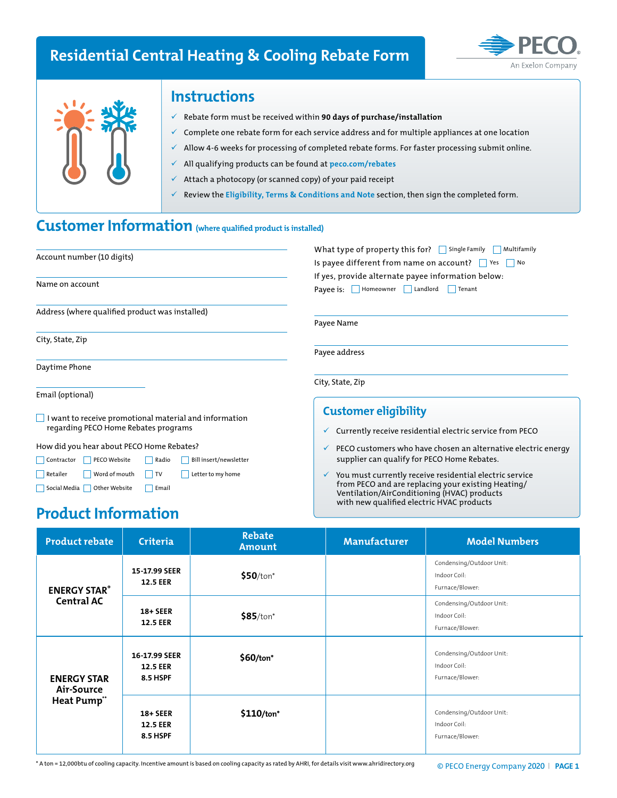## **Residential Central Heating & Cooling Rebate Form**





### **Instructions**

- 9 Rebate form must be received within **90 days of purchase/installation**
- 9 Complete one rebate form for each service address and for multiple appliances at one location
- Allow 4-6 weeks for processing of completed rebate forms. For faster processing submit online.
- 9 All qualifying products can be found at **peco.com/rebates**
- Attach a photocopy (or scanned copy) of your paid receipt
- 9 Review the **Eligibility, Terms & Conditions and Note** section, then sign the completed form.

## **Customer Information (where qualified product is installed)**

| Account number (10 digits)                                                                                        | What type of property this for? Single Family Multifamily<br>Is payee different from name on account? $\Box$ Yes $\Box$ No<br>If yes, provide alternate payee information below:<br>Payee is: Homeowner Landlord Tenant |  |  |  |
|-------------------------------------------------------------------------------------------------------------------|-------------------------------------------------------------------------------------------------------------------------------------------------------------------------------------------------------------------------|--|--|--|
| Name on account                                                                                                   |                                                                                                                                                                                                                         |  |  |  |
| Address (where qualified product was installed)                                                                   | Payee Name                                                                                                                                                                                                              |  |  |  |
| City, State, Zip                                                                                                  | Payee address                                                                                                                                                                                                           |  |  |  |
| Daytime Phone                                                                                                     |                                                                                                                                                                                                                         |  |  |  |
| Email (optional)                                                                                                  | City, State, Zip                                                                                                                                                                                                        |  |  |  |
| $\Box$ I want to receive promotional material and information<br>regarding PECO Home Rebates programs             | <b>Customer eligibility</b><br>Currently receive residential electric service from PECO<br>$\checkmark$                                                                                                                 |  |  |  |
| How did you hear about PECO Home Rebates?<br><b>Contractor</b><br>PECO Website<br>Radio<br>Bill insert/newsletter | PECO customers who have chosen an alternative electric energy<br>v<br>supplier can qualify for PECO Home Rebates.                                                                                                       |  |  |  |

## **Product Information**

Social Media **Other Website** Fmail

Retailer Word of mouth TV Letter to my home

| <b>Product rebate</b>                          | <b>Criteria</b>                              | <b>Rebate</b><br><b>Amount</b> | <b>Manufacturer</b> | <b>Model Numbers</b>                                        |
|------------------------------------------------|----------------------------------------------|--------------------------------|---------------------|-------------------------------------------------------------|
| <b>ENERGY STAR®</b><br>Central AC              | 15-17.99 SEER<br><b>12.5 EER</b>             | $$50$ /ton*                    |                     | Condensing/Outdoor Unit:<br>Indoor Coil:<br>Furnace/Blower: |
|                                                | $18 + SEER$<br><b>12.5 EER</b>               | $$85/ton*$                     |                     | Condensing/Outdoor Unit:<br>Indoor Coil:<br>Furnace/Blower: |
| <b>ENERGY STAR</b><br>Air-Source<br>Heat Pump" | 16-17.99 SEER<br><b>12.5 EER</b><br>8.5 HSPF | $$60/ton*$                     |                     | Condensing/Outdoor Unit:<br>Indoor Coil:<br>Furnace/Blower: |
|                                                | 18+ SEER<br><b>12.5 EER</b><br>8.5 HSPF      | $$110/ton*$                    |                     | Condensing/Outdoor Unit:<br>Indoor Coil:<br>Furnace/Blower: |

You must currently receive residential electric service from PECO and are replacing your existing Heating/ Ventilation/AirConditioning (HVAC) products with new qualified electric HVAC products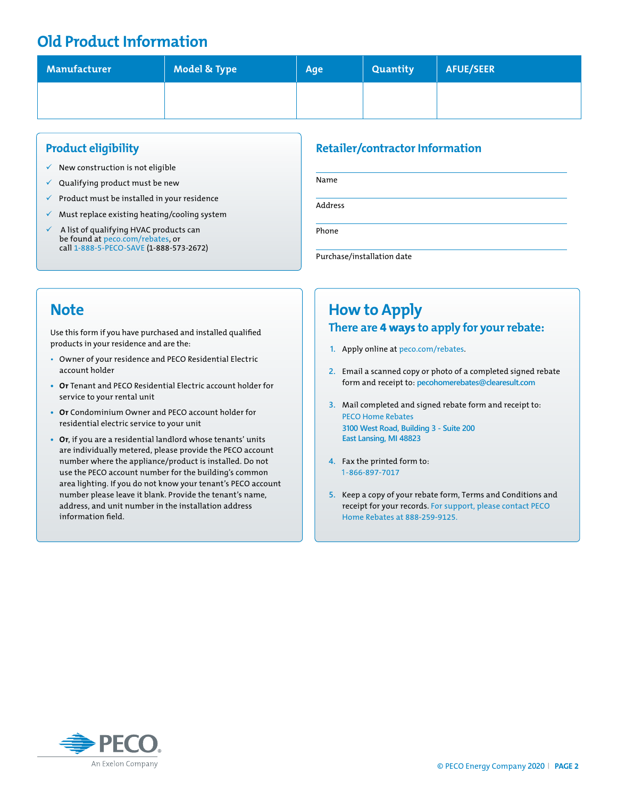### **Old Product Information**

| Manufacturer | Model & Type | Age | <b>Quantity</b> | AFUE/SEER |
|--------------|--------------|-----|-----------------|-----------|
|              |              |     |                 |           |

#### **Product eligibility**

- $\checkmark$  New construction is not eligible
- $\checkmark$  Qualifying product must be new
- $\checkmark$  Product must be installed in your residence
- $\checkmark$  Must replace existing heating/cooling system
- 9 A list of qualifying HVAC products can be found at peco.com/rebates, or call 1-888-5-PECO-SAVE (1-888-573-2672)

### **Retailer/contractor Information**

Name Address Phone

Purchase/installation date

### **Note**

Use this form if you have purchased and installed qualified products in your residence and are the:

- Owner of your residence and PECO Residential Electric account holder
- **• Or** Tenant and PECO Residential Electric account holder for service to your rental unit
- **• Or** Condominium Owner and PECO account holder for residential electric service to your unit
- **• Or**, if you are a residential landlord whose tenants' units are individually metered, please provide the PECO account number where the appliance/product is installed. Do not use the PECO account number for the building's common area lighting. If you do not know your tenant's PECO account number please leave it blank. Provide the tenant's name, address, and unit number in the installation address information field.

### **How to Apply There are 4 ways to apply for your rebate:**

- **1.** Apply online at peco.com/rebates.
- **2.** Email a scanned copy or photo of a completed signed rebate form and receipt to: **pecohomerebates@clearesult.com**
- **3.** Mail completed and signed rebate form and receipt to: PECO Home Rebates **3100 West Road, Building 3 - Suite 200 East Lansing, MI 48823**
- **4.** Fax the printed form to: 1-866-897-7017
- **5.** Keep a copy of your rebate form, Terms and Conditions and receipt for your records. For support, please contact PECO Home Rebates at 888-259-9125.